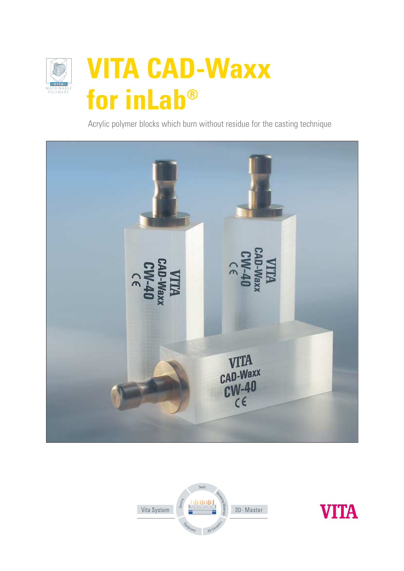

## **VITA CAD-Waxx**  for inLab®

Acrylic polymer blocks which burn without residue for the casting technique